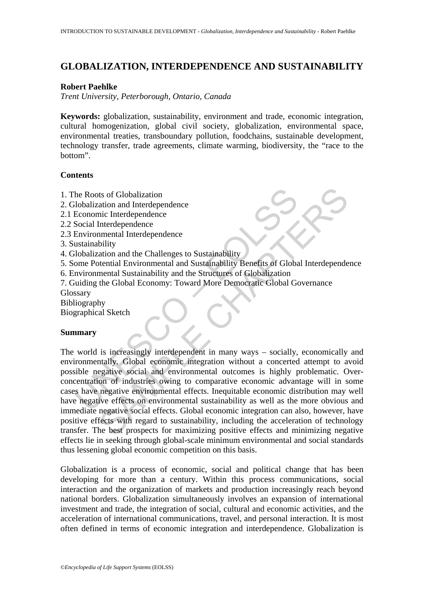# **GLOBALIZATION, INTERDEPENDENCE AND SUSTAINABILITY**

### **Robert Paehlke**

*Trent University, Peterborough, Ontario, Canada*

**Keywords:** globalization, sustainability, environment and trade, economic integration, cultural homogenization, global civil society, globalization, environmental space, environmental treaties, transboundary pollution, foodchains, sustainable development, technology transfer, trade agreements, climate warming, biodiversity, the "race to the bottom".

# **Contents**

- 1. The Roots of Globalization
- 2. Globalization and Interdependence
- 2.1 Economic Interdependence
- 2.2 Social Interdependence
- 2.3 Environmental Interdependence
- 3. Sustainability
- 4. Globalization and the Challenges to Sustainability
- 5. Some Potential Environmental and Sustainability Benefits of Global Interdependence
- 6. Environmental Sustainability and the Structures of Globalization
- 7. Guiding the Global Economy: Toward More Democratic Global Governance

Glossary

- Bibliography
- Biographical Sketch

# **Summary**

he Roots of Globalization<br>
ilobalization and Interdependence<br>
Economic Interdependence<br>
Economic Interdependence<br>
Social Interdependence<br>
ustainability<br>
ususianability<br>
ilobalization and the Challenges to Sustainability<br>
D <sup>1</sup><br>
In the complementation and Interdependence<br>
Interdependence<br>
Interdependence<br>
Interdependence<br>
Interdependence<br>
Interdependence<br>
Interdependence<br>
Interdependence<br>
Interdependence<br>
Interdependence<br>
Interdependence<br>
Int The world is increasingly interdependent in many ways – socially, economically and environmentally. Global economic integration without a concerted attempt to avoid possible negative social and environmental outcomes is highly problematic. Overconcentration of industries owing to comparative economic advantage will in some cases have negative environmental effects. Inequitable economic distribution may well have negative effects on environmental sustainability as well as the more obvious and immediate negative social effects. Global economic integration can also, however, have positive effects with regard to sustainability, including the acceleration of technology transfer. The best prospects for maximizing positive effects and minimizing negative effects lie in seeking through global-scale minimum environmental and social standards thus lessening global economic competition on this basis.

Globalization is a process of economic, social and political change that has been developing for more than a century. Within this process communications, social interaction and the organization of markets and production increasingly reach beyond national borders. Globalization simultaneously involves an expansion of international investment and trade, the integration of social, cultural and economic activities, and the acceleration of international communications, travel, and personal interaction. It is most often defined in terms of economic integration and interdependence. Globalization is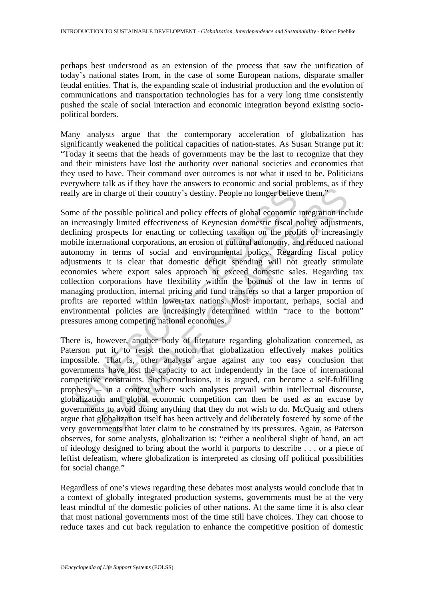perhaps best understood as an extension of the process that saw the unification of today's national states from, in the case of some European nations, disparate smaller feudal entities. That is, the expanding scale of industrial production and the evolution of communications and transportation technologies has for a very long time consistently pushed the scale of social interaction and economic integration beyond existing sociopolitical borders.

Many analysts argue that the contemporary acceleration of globalization has significantly weakened the political capacities of nation-states. As Susan Strange put it: "Today it seems that the heads of governments may be the last to recognize that they and their ministers have lost the authority over national societies and economies that they used to have. Their command over outcomes is not what it used to be. Politicians everywhere talk as if they have the answers to economic and social problems, as if they really are in charge of their country's destiny. People no longer believe them."

Iy are in charge of their country's destiny. People no longer believ<br>ne of the possible political and policy effects of global economic<br>nereasingly limited effectiveness of Keynesian domestic fiscal p<br>iming prospects for e is the most of their country's destiny. People no longer believe them."<br>
a pharge of their country's destiny. People no longer believe them."<br>
e possible political and policy effects of global economic integration inc<br>
mgl Some of the possible political and policy effects of global economic integration include an increasingly limited effectiveness of Keynesian domestic fiscal policy adjustments, declining prospects for enacting or collecting taxation on the profits of increasingly mobile international corporations, an erosion of cultural autonomy, and reduced national autonomy in terms of social and environmental policy. Regarding fiscal policy adjustments it is clear that domestic deficit spending will not greatly stimulate economies where export sales approach or exceed domestic sales. Regarding tax collection corporations have flexibility within the bounds of the law in terms of managing production, internal pricing and fund transfers so that a larger proportion of profits are reported within lower-tax nations. Most important, perhaps, social and environmental policies are increasingly determined within "race to the bottom" pressures among competing national economies.

There is, however, another body of literature regarding globalization concerned, as Paterson put it, to resist the notion that globalization effectively makes politics impossible. That is, other analysts argue against any too easy conclusion that governments have lost the capacity to act independently in the face of international competitive constraints. Such conclusions, it is argued, can become a self-fulfilling prophesy -- in a context where such analyses prevail within intellectual discourse, globalization and global economic competition can then be used as an excuse by governments to avoid doing anything that they do not wish to do. McQuaig and others argue that globalization itself has been actively and deliberately fostered by some of the very governments that later claim to be constrained by its pressures. Again, as Paterson observes, for some analysts, globalization is: "either a neoliberal slight of hand, an act of ideology designed to bring about the world it purports to describe . . . or a piece of leftist defeatism, where globalization is interpreted as closing off political possibilities for social change."

Regardless of one's views regarding these debates most analysts would conclude that in a context of globally integrated production systems, governments must be at the very least mindful of the domestic policies of other nations. At the same time it is also clear that most national governments most of the time still have choices. They can choose to reduce taxes and cut back regulation to enhance the competitive position of domestic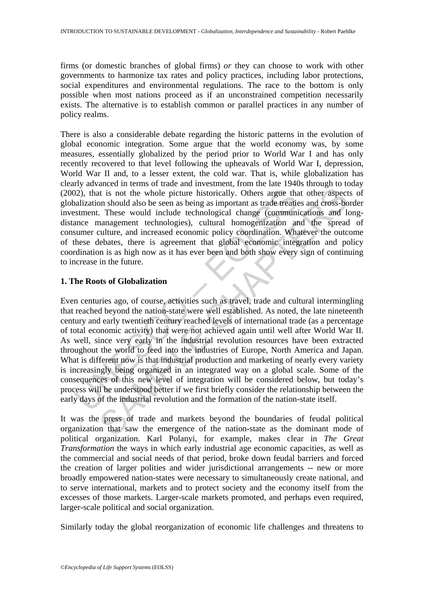firms (or domestic branches of global firms) *or* they can choose to work with other governments to harmonize tax rates and policy practices, including labor protections, social expenditures and environmental regulations. The race to the bottom is only possible when most nations proceed as if an unconstrained competition necessarily exists. The alternative is to establish common or parallel practices in any number of policy realms.

There is also a considerable debate regarding the historic patterns in the evolution of global economic integration. Some argue that the world economy was, by some measures, essentially globalized by the period prior to World War I and has only recently recovered to that level following the upheavals of World War I, depression, World War II and, to a lesser extent, the cold war. That is, while globalization has clearly advanced in terms of trade and investment, from the late 1940s through to today (2002), that is not the whole picture historically. Others argue that other aspects of globalization should also be seen as being as important as trade treaties and cross-border investment. These would include technological change (communications and longdistance management technologies), cultural homogenization and the spread of consumer culture, and increased economic policy coordination. Whatever the outcome of these debates, there is agreement that global economic integration and policy coordination is as high now as it has ever been and both show every sign of continuing to increase in the future.

# **1. The Roots of Globalization**

(2), that is not the whole picture historically. Others argue thalization should also be seen as being as important as trade treatiestment. These would include technological change (communine management technologies), cult at is not the whole picture historically. Others argue that other aspect<br>on should also be seen as being as important as trade treaties and cross-bo<br>on should also be seen as being as important as trade treaties and cross-Even centuries ago, of course, activities such as travel, trade and cultural intermingling that reached beyond the nation-state were well established. As noted, the late nineteenth century and early twentieth century reached levels of international trade (as a percentage of total economic activity) that were not achieved again until well after World War II. As well, since very early in the industrial revolution resources have been extracted throughout the world to feed into the industries of Europe, North America and Japan. What is different now is that industrial production and marketing of nearly every variety is increasingly being organized in an integrated way on a global scale. Some of the consequences of this new level of integration will be considered below, but today's process will be understood better if we first briefly consider the relationship between the early days of the industrial revolution and the formation of the nation-state itself.

It was the press of trade and markets beyond the boundaries of feudal political organization that saw the emergence of the nation-state as the dominant mode of political organization. Karl Polanyi, for example, makes clear in *The Great Transformation* the ways in which early industrial age economic capacities, as well as the commercial and social needs of that period, broke down feudal barriers and forced the creation of larger polities and wider jurisdictional arrangements -- new or more broadly empowered nation-states were necessary to simultaneously create national, and to serve international, markets and to protect society and the economy itself from the excesses of those markets. Larger-scale markets promoted, and perhaps even required, larger-scale political and social organization.

Similarly today the global reorganization of economic life challenges and threatens to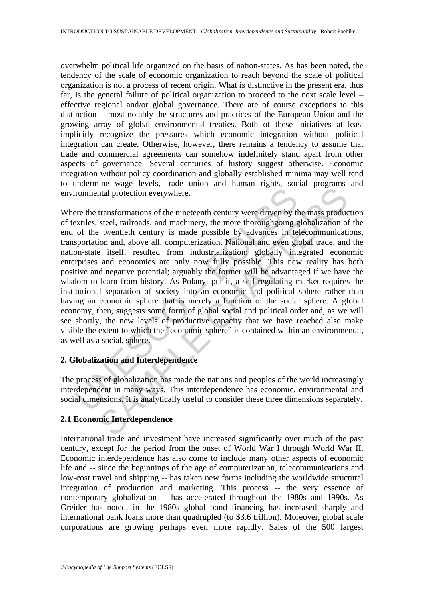overwhelm political life organized on the basis of nation-states. As has been noted, the tendency of the scale of economic organization to reach beyond the scale of political organization is not a process of recent origin. What is distinctive in the present era, thus far, is the general failure of political organization to proceed to the next scale level – effective regional and/or global governance. There are of course exceptions to this distinction -- most notably the structures and practices of the European Union and the growing array of global environmental treaties. Both of these initiatives at least implicitly recognize the pressures which economic integration without political integration can create. Otherwise, however, there remains a tendency to assume that trade and commercial agreements can somehow indefinitely stand apart from other aspects of governance. Several centuries of history suggest otherwise. Economic integration without policy coordination and globally established minima may well tend to undermine wage levels, trade union and human rights, social programs and environmental protection everywhere.

ironmental protection everywhere.<br>
ere the transformations of the nineteenth century were driven by the<br>
xtiles, steel, railroads, and machinery, the more thoroughgoing g<br>
of the twentieth century is made possible by advan Interior of the minimum results of the minimum results and protection everywhere.<br>
transformations of the nineteenth century were driven by the mass producteel, railroads, and machinery, the more thoroughgoing globalizatio Where the transformations of the nineteenth century were driven by the mass production of textiles, steel, railroads, and machinery, the more thoroughgoing globalization of the end of the twentieth century is made possible by advances in telecommunications, transportation and, above all, computerization. National and even global trade, and the nation-state itself, resulted from industrialization; globally integrated economic enterprises and economies are only now fully possible. This new reality has both positive and negative potential; arguably the former will be advantaged if we have the wisdom to learn from history. As Polanyi put it, a self-regulating market requires the institutional separation of society into an economic and political sphere rather than having an economic sphere that is merely a function of the social sphere. A global economy, then, suggests some form of global social and political order and, as we will see shortly, the new levels of productive capacity that we have reached also make visible the extent to which the "economic sphere" is contained within an environmental, as well as a social, sphere.

# **2. Globalization and Interdependence**

The process of globalization has made the nations and peoples of the world increasingly interdependent in many ways. This interdependence has economic, environmental and social dimensions. It is analytically useful to consider these three dimensions separately.

# **2.1 Economic Interdependence**

International trade and investment have increased significantly over much of the past century, except for the period from the onset of World War I through World War II. Economic interdependence has also come to include many other aspects of economic life and -- since the beginnings of the age of computerization, telecommunications and low-cost travel and shipping -- has taken new forms including the worldwide structural integration of production and marketing. This process -- the very essence of contemporary globalization -- has accelerated throughout the 1980s and 1990s. As Greider has noted, in the 1980s global bond financing has increased sharply and international bank loans more than quadrupled (to \$3.6 trillion). Moreover, global scale corporations are growing perhaps even more rapidly. Sales of the 500 largest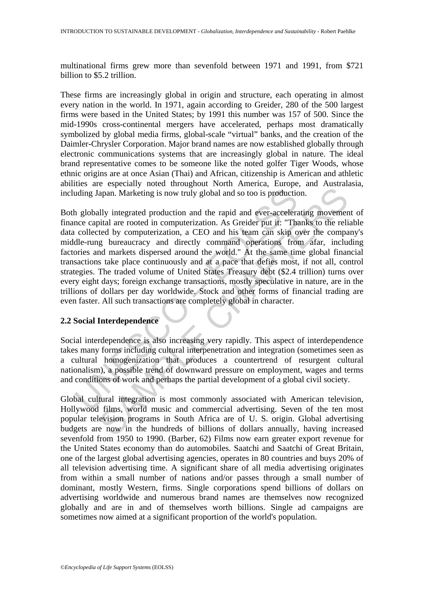multinational firms grew more than sevenfold between 1971 and 1991, from \$721 billion to \$5.2 trillion.

These firms are increasingly global in origin and structure, each operating in almost every nation in the world. In 1971, again according to Greider, 280 of the 500 largest firms were based in the United States; by 1991 this number was 157 of 500. Since the mid-1990s cross-continental mergers have accelerated, perhaps most dramatically symbolized by global media firms, global-scale "virtual" banks, and the creation of the Daimler-Chrysler Corporation. Major brand names are now established globally through electronic communications systems that are increasingly global in nature. The ideal brand representative comes to be someone like the noted golfer Tiger Woods, whose ethnic origins are at once Asian (Thai) and African, citizenship is American and athletic abilities are especially noted throughout North America, Europe, and Australasia, including Japan. Marketing is now truly global and so too is production.

uding Japan. Marketing is now truly global and so too is production<br>the globally integrated production and the rapid and ever-accelerate<br>ce capital are rooted in computerization. As Greider put it: "Tha<br>collected by comput apan. Marketing is now truly global and so too is production.<br>
and an Marketing is now truly global and so too is production.<br>
Illy integrated production and the rapid and so too is production.<br>
Illy integrated production, Both globally integrated production and the rapid and ever-accelerating movement of finance capital are rooted in computerization. As Greider put it: "Thanks to the reliable data collected by computerization, a CEO and his team can skip over the company's middle-rung bureaucracy and directly command operations from afar, including factories and markets dispersed around the world." At the same time global financial transactions take place continuously and at a pace that defies most, if not all, control strategies. The traded volume of United States Treasury debt (\$2.4 trillion) turns over every eight days; foreign exchange transactions, mostly speculative in nature, are in the trillions of dollars per day worldwide. Stock and other forms of financial trading are even faster. All such transactions are completely global in character.

### **2.2 Social Interdependence**

Social interdependence is also increasing very rapidly. This aspect of interdependence takes many forms including cultural interpenetration and integration (sometimes seen as a cultural homogenization that produces a countertrend of resurgent cultural nationalism), a possible trend of downward pressure on employment, wages and terms and conditions of work and perhaps the partial development of a global civil society.

Global cultural integration is most commonly associated with American television, Hollywood films, world music and commercial advertising. Seven of the ten most popular television programs in South Africa are of U. S. origin. Global advertising budgets are now in the hundreds of billions of dollars annually, having increased sevenfold from 1950 to 1990. (Barber, 62) Films now earn greater export revenue for the United States economy than do automobiles. Saatchi and Saatchi of Great Britain, one of the largest global advertising agencies, operates in 80 countries and buys 20% of all television advertising time. A significant share of all media advertising originates from within a small number of nations and/or passes through a small number of dominant, mostly Western, firms. Single corporations spend billions of dollars on advertising worldwide and numerous brand names are themselves now recognized globally and are in and of themselves worth billions. Single ad campaigns are sometimes now aimed at a significant proportion of the world's population.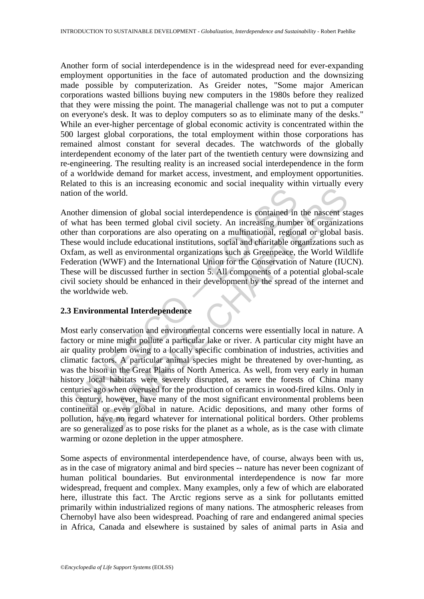Another form of social interdependence is in the widespread need for ever-expanding employment opportunities in the face of automated production and the downsizing made possible by computerization. As Greider notes, "Some major American corporations wasted billions buying new computers in the 1980s before they realized that they were missing the point. The managerial challenge was not to put a computer on everyone's desk. It was to deploy computers so as to eliminate many of the desks." While an ever-higher percentage of global economic activity is concentrated within the 500 largest global corporations, the total employment within those corporations has remained almost constant for several decades. The watchwords of the globally interdependent economy of the later part of the twentieth century were downsizing and re-engineering. The resulting reality is an increased social interdependence in the form of a worldwide demand for market access, investment, and employment opportunities. Related to this is an increasing economic and social inequality within virtually every nation of the world.

on of the world.<br>
What has been termed global social interdependence is contained in<br>
what has been termed global civil society. An increasing number<br>
or than corporations are also operating on a multinational, region<br>
are Another dimension of global social interdependence is contained in the nascent stages of what has been termed global civil society. An increasing number of organizations other than corporations are also operating on a multinational, regional or global basis. These would include educational institutions, social and charitable organizations such as Oxfam, as well as environmental organizations such as Greenpeace, the World Wildlife Federation (WWF) and the International Union for the Conservation of Nature (IUCN). These will be discussed further in section 5. All components of a potential global-scale civil society should be enhanced in their development by the spread of the internet and the worldwide web.

# **2.3 Environmental Interdependence**

is the world.<br>
mension of global social interdependence is contained in the nascent states been termed global civil society. An increasing number of organization corporations are also operating on a multinational, regional Most early conservation and environmental concerns were essentially local in nature. A factory or mine might pollute a particular lake or river. A particular city might have an air quality problem owing to a locally specific combination of industries, activities and climatic factors. A particular animal species might be threatened by over-hunting, as was the bison in the Great Plains of North America. As well, from very early in human history local habitats were severely disrupted, as were the forests of China many centuries ago when overused for the production of ceramics in wood-fired kilns. Only in this century, however, have many of the most significant environmental problems been continental or even global in nature. Acidic depositions, and many other forms of pollution, have no regard whatever for international political borders. Other problems are so generalized as to pose risks for the planet as a whole, as is the case with climate warming or ozone depletion in the upper atmosphere.

Some aspects of environmental interdependence have, of course, always been with us, as in the case of migratory animal and bird species -- nature has never been cognizant of human political boundaries. But environmental interdependence is now far more widespread, frequent and complex. Many examples, only a few of which are elaborated here, illustrate this fact. The Arctic regions serve as a sink for pollutants emitted primarily within industrialized regions of many nations. The atmospheric releases from Chernobyl have also been widespread. Poaching of rare and endangered animal species in Africa, Canada and elsewhere is sustained by sales of animal parts in Asia and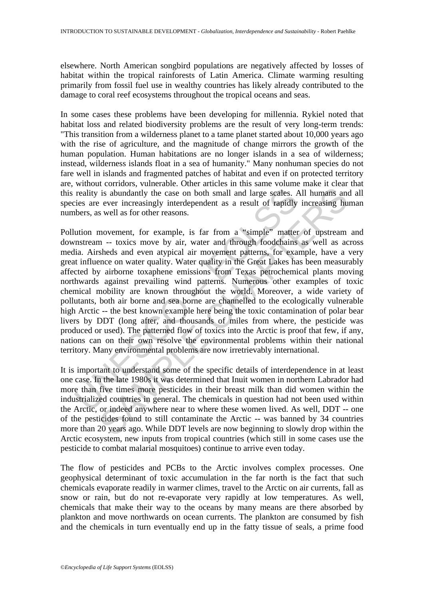elsewhere. North American songbird populations are negatively affected by losses of habitat within the tropical rainforests of Latin America. Climate warming resulting primarily from fossil fuel use in wealthy countries has likely already contributed to the damage to coral reef ecosystems throughout the tropical oceans and seas.

In some cases these problems have been developing for millennia. Rykiel noted that habitat loss and related biodiversity problems are the result of very long-term trends: "This transition from a wilderness planet to a tame planet started about 10,000 years ago with the rise of agriculture, and the magnitude of change mirrors the growth of the human population. Human habitations are no longer islands in a sea of wilderness; instead, wilderness islands float in a sea of humanity." Many nonhuman species do not fare well in islands and fragmented patches of habitat and even if on protected territory are, without corridors, vulnerable. Other articles in this same volume make it clear that this reality is abundantly the case on both small and large scales. All humans and all species are ever increasingly interdependent as a result of rapidly increasing human numbers, as well as for other reasons.

reality is abundantly the case on both small and large scales. *F*<br>ies are ever increasingly interdependent as a result of rapidly<br>bbers, as well as for other reasons.<br>ution movement, for example, is far from a "simple" ma is abundantly the case on both small and large scales. All humans and<br>is abundantly the case on both small and large scales. All humans and<br>ever increasingly interdependent as a result of rapidly increasing hu<br>swell as for Pollution movement, for example, is far from a "simple" matter of upstream and downstream -- toxics move by air, water and through foodchains as well as across media. Airsheds and even atypical air movement patterns, for example, have a very great influence on water quality. Water quality in the Great Lakes has been measurably affected by airborne toxaphene emissions from Texas petrochemical plants moving northwards against prevailing wind patterns. Numerous other examples of toxic chemical mobility are known throughout the world. Moreover, a wide variety of pollutants, both air borne and sea borne are channelled to the ecologically vulnerable high Arctic -- the best known example here being the toxic contamination of polar bear livers by DDT (long after, and thousands of miles from where, the pesticide was produced or used). The patterned flow of toxics into the Arctic is proof that few, if any, nations can on their own resolve the environmental problems within their national territory. Many environmental problems are now irretrievably international.

It is important to understand some of the specific details of interdependence in at least one case. In the late 1980s it was determined that Inuit women in northern Labrador had more than five times more pesticides in their breast milk than did women within the industrialized countries in general. The chemicals in question had not been used within the Arctic, or indeed anywhere near to where these women lived. As well, DDT -- one of the pesticides found to still contaminate the Arctic -- was banned by 34 countries more than 20 years ago. While DDT levels are now beginning to slowly drop within the Arctic ecosystem, new inputs from tropical countries (which still in some cases use the pesticide to combat malarial mosquitoes) continue to arrive even today.

The flow of pesticides and PCBs to the Arctic involves complex processes. One geophysical determinant of toxic accumulation in the far north is the fact that such chemicals evaporate readily in warmer climes, travel to the Arctic on air currents, fall as snow or rain, but do not re-evaporate very rapidly at low temperatures. As well, chemicals that make their way to the oceans by many means are there absorbed by plankton and move northwards on ocean currents. The plankton are consumed by fish and the chemicals in turn eventually end up in the fatty tissue of seals, a prime food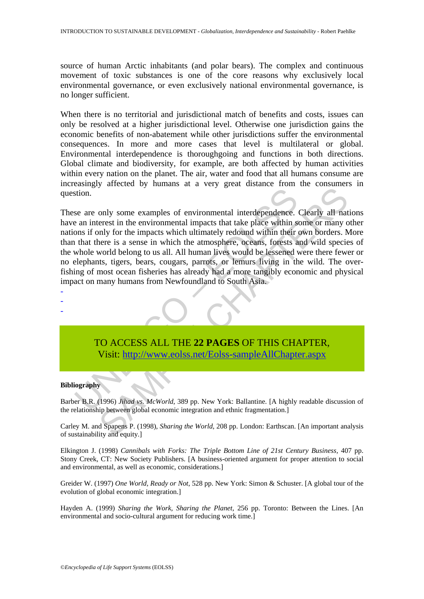source of human Arctic inhabitants (and polar bears). The complex and continuous movement of toxic substances is one of the core reasons why exclusively local environmental governance, or even exclusively national environmental governance, is no longer sufficient.

When there is no territorial and jurisdictional match of benefits and costs, issues can only be resolved at a higher jurisdictional level. Otherwise one jurisdiction gains the economic benefits of non-abatement while other jurisdictions suffer the environmental consequences. In more and more cases that level is multilateral or global. Environmental interdependence is thoroughgoing and functions in both directions. Global climate and biodiversity, for example, are both affected by human activities within every nation on the planet. The air, water and food that all humans consume are increasingly affected by humans at a very great distance from the consumers in question.

stion.<br>
See are only some examples of environmental interdependence.<br>
See an interest in the environmental impacts that take place within show<br>
onos if only for the impacts which ultimately redound within their<br>
that there For the environmental interdependence. Clearly all naterest in the environmental impacts that take place within some or many only for the impacts which ultimately redound within their own borders. Never is a sense in which These are only some examples of environmental interdependence. Clearly all nations have an interest in the environmental impacts that take place within some or many other nations if only for the impacts which ultimately redound within their own borders. More than that there is a sense in which the atmosphere, oceans, forests and wild species of the whole world belong to us all. All human lives would be lessened were there fewer or no elephants, tigers, bears, cougars, parrots, or lemurs living in the wild. The overfishing of most ocean fisheries has already had a more tangibly economic and physical impact on many humans from Newfoundland to South Asia.

TO ACCESS ALL THE **22 PAGES** OF THIS CHAPTER, Visit: http://www.eolss.net/Eolss-sampleAllChapter.aspx

#### **Bibliography**

- - -

Barber B.R. (1996) *Jihad vs. McWorld*, 389 pp. New York: Ballantine. [A highly readable discussion of the relationship between global economic integration and ethnic fragmentation.]

Carley M. and Spapens P. (1998), *Sharing the World*, 208 pp. London: Earthscan. [An important analysis of sustainability and equity.]

Elkington J. (1998) *Cannibals with Forks: The Triple Bottom Line of 21st Century Business,* 407 pp. Stony Creek, CT: New Society Publishers. [A business-oriented argument for proper attention to social and environmental, as well as economic, considerations.]

Greider W. (1997) *One World, Ready or Not*, 528 pp. New York: Simon & Schuster. [A global tour of the evolution of global economic integration.]

Hayden A. (1999) *Sharing the Work, Sharing the Planet*, 256 pp. Toronto: Between the Lines. [An environmental and socio-cultural argument for reducing work time.]